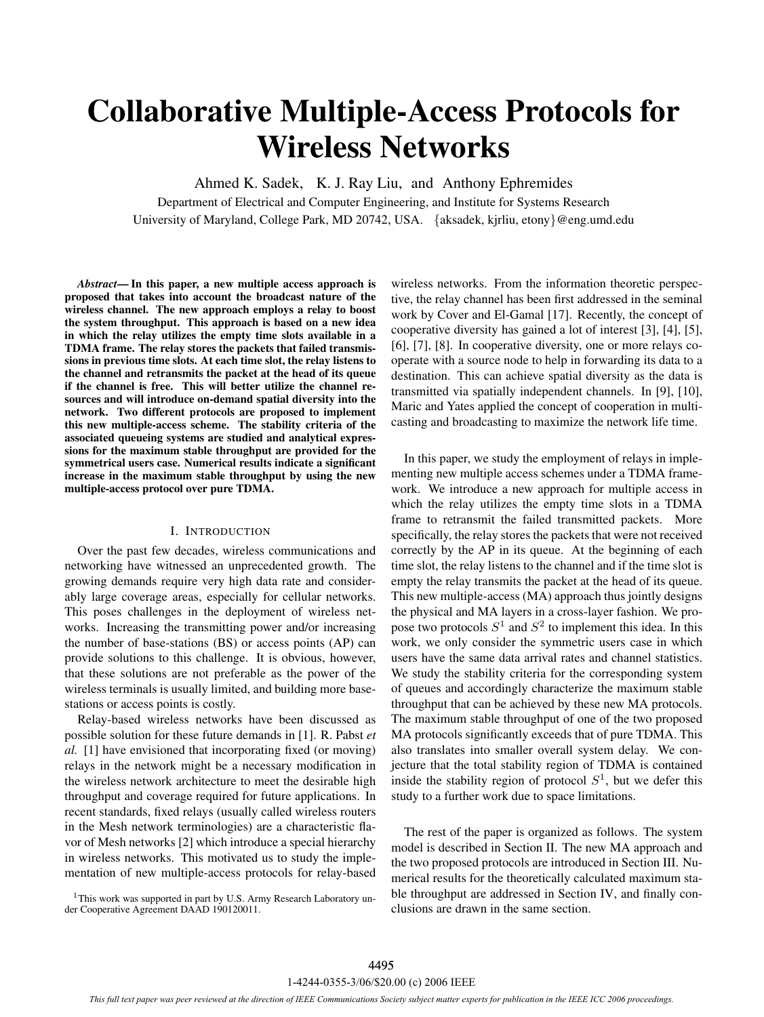# **Collaborative Multiple-Access Protocols for Wireless Networks**

Ahmed K. Sadek, K. J. Ray Liu, and Anthony Ephremides

Department of Electrical and Computer Engineering, and Institute for Systems Research University of Maryland, College Park, MD 20742, USA. {aksadek, kjrliu, etony}@eng.umd.edu

*Abstract***— In this paper, a new multiple access approach is proposed that takes into account the broadcast nature of the wireless channel. The new approach employs a relay to boost the system throughput. This approach is based on a new idea in which the relay utilizes the empty time slots available in a TDMA frame. The relay stores the packets that failed transmissions in previous time slots. At each time slot, the relay listens to the channel and retransmits the packet at the head of its queue if the channel is free. This will better utilize the channel resources and will introduce on-demand spatial diversity into the network. Two different protocols are proposed to implement this new multiple-access scheme. The stability criteria of the associated queueing systems are studied and analytical expressions for the maximum stable throughput are provided for the symmetrical users case. Numerical results indicate a significant increase in the maximum stable throughput by using the new multiple-access protocol over pure TDMA.**

### I. INTRODUCTION

Over the past few decades, wireless communications and networking have witnessed an unprecedented growth. The growing demands require very high data rate and considerably large coverage areas, especially for cellular networks. This poses challenges in the deployment of wireless networks. Increasing the transmitting power and/or increasing the number of base-stations (BS) or access points (AP) can provide solutions to this challenge. It is obvious, however, that these solutions are not preferable as the power of the wireless terminals is usually limited, and building more basestations or access points is costly.

Relay-based wireless networks have been discussed as possible solution for these future demands in [1]. R. Pabst *et al.* [1] have envisioned that incorporating fixed (or moving) relays in the network might be a necessary modification in the wireless network architecture to meet the desirable high throughput and coverage required for future applications. In recent standards, fixed relays (usually called wireless routers in the Mesh network terminologies) are a characteristic flavor of Mesh networks [2] which introduce a special hierarchy in wireless networks. This motivated us to study the implementation of new multiple-access protocols for relay-based

 $1$ This work was supported in part by U.S. Army Research Laboratory under Cooperative Agreement DAAD 190120011.

wireless networks. From the information theoretic perspective, the relay channel has been first addressed in the seminal work by Cover and El-Gamal [17]. Recently, the concept of cooperative diversity has gained a lot of interest [3], [4], [5], [6], [7], [8]. In cooperative diversity, one or more relays cooperate with a source node to help in forwarding its data to a destination. This can achieve spatial diversity as the data is transmitted via spatially independent channels. In [9], [10], Maric and Yates applied the concept of cooperation in multicasting and broadcasting to maximize the network life time.

In this paper, we study the employment of relays in implementing new multiple access schemes under a TDMA framework. We introduce a new approach for multiple access in which the relay utilizes the empty time slots in a TDMA frame to retransmit the failed transmitted packets. More specifically, the relay stores the packets that were not received correctly by the AP in its queue. At the beginning of each time slot, the relay listens to the channel and if the time slot is empty the relay transmits the packet at the head of its queue. This new multiple-access (MA) approach thus jointly designs the physical and MA layers in a cross-layer fashion. We propose two protocols  $S^1$  and  $S^2$  to implement this idea. In this work, we only consider the symmetric users case in which users have the same data arrival rates and channel statistics. We study the stability criteria for the corresponding system of queues and accordingly characterize the maximum stable throughput that can be achieved by these new MA protocols. The maximum stable throughput of one of the two proposed MA protocols significantly exceeds that of pure TDMA. This also translates into smaller overall system delay. We conjecture that the total stability region of TDMA is contained inside the stability region of protocol  $S<sup>1</sup>$ , but we defer this study to a further work due to space limitations.

The rest of the paper is organized as follows. The system model is described in Section II. The new MA approach and the two proposed protocols are introduced in Section III. Numerical results for the theoretically calculated maximum stable throughput are addressed in Section IV, and finally conclusions are drawn in the same section.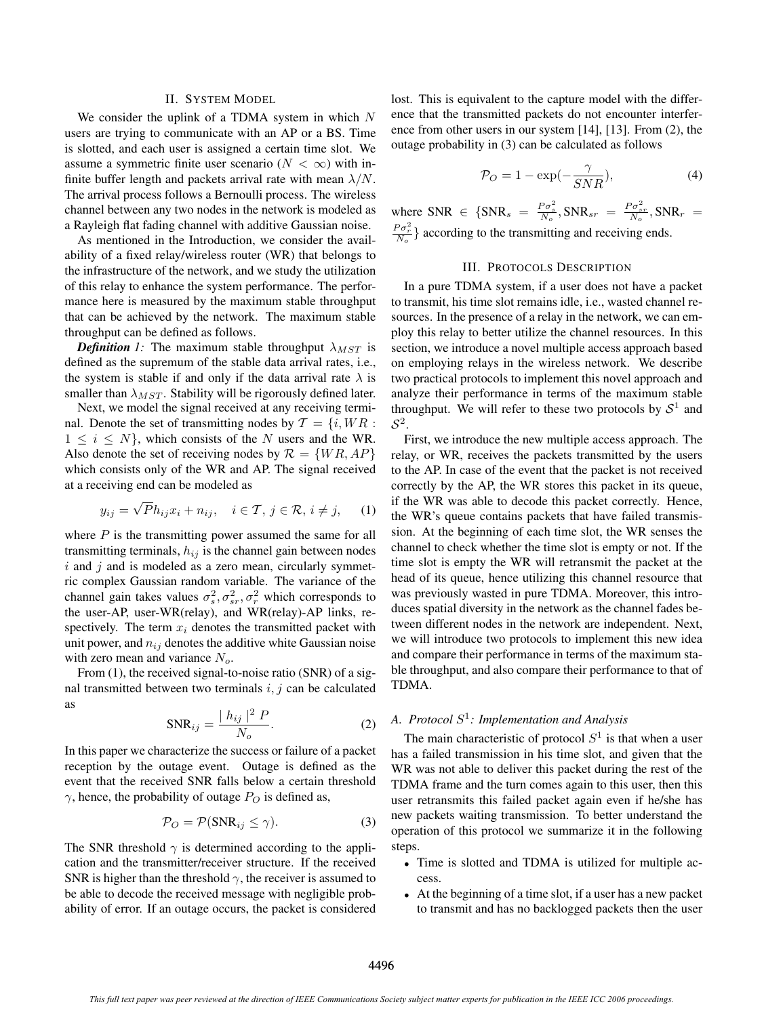## II. SYSTEM MODEL

We consider the uplink of a TDMA system in which  $N$ users are trying to communicate with an AP or a BS. Time is slotted, and each user is assigned a certain time slot. We assume a symmetric finite user scenario ( $N < \infty$ ) with infinite buffer length and packets arrival rate with mean  $\lambda/N$ . The arrival process follows a Bernoulli process. The wireless channel between any two nodes in the network is modeled as a Rayleigh flat fading channel with additive Gaussian noise.

As mentioned in the Introduction, we consider the availability of a fixed relay/wireless router (WR) that belongs to the infrastructure of the network, and we study the utilization of this relay to enhance the system performance. The performance here is measured by the maximum stable throughput that can be achieved by the network. The maximum stable throughput can be defined as follows.

*Definition 1:* The maximum stable throughput  $\lambda_{MST}$  is defined as the supremum of the stable data arrival rates, i.e., the system is stable if and only if the data arrival rate  $\lambda$  is smaller than  $\lambda_{MST}$ . Stability will be rigorously defined later.

Next, we model the signal received at any receiving terminal. Denote the set of transmitting nodes by  $\mathcal{T} = \{i, WR :$  $1 \leq i \leq N$ , which consists of the N users and the WR. Also denote the set of receiving nodes by  $\mathcal{R} = \{WR, AP\}$ which consists only of the WR and AP. The signal received at a receiving end can be modeled as

$$
y_{ij} = \sqrt{P}h_{ij}x_i + n_{ij}, \quad i \in \mathcal{T}, j \in \mathcal{R}, i \neq j,
$$
 (1)

where  $P$  is the transmitting power assumed the same for all transmitting terminals,  $h_{ij}$  is the channel gain between nodes  $i$  and  $j$  and is modeled as a zero mean, circularly symmetric complex Gaussian random variable. The variance of the channel gain takes values  $\sigma_s^2, \sigma_{sr}^2, \sigma_r^2$  which corresponds to the user-AP, user-WR(relay), and WR(relay)-AP links, respectively. The term  $x_i$  denotes the transmitted packet with unit power, and  $n_{ij}$  denotes the additive white Gaussian noise with zero mean and variance  $N<sub>o</sub>$ .

From (1), the received signal-to-noise ratio (SNR) of a signal transmitted between two terminals  $i, j$  can be calculated as

$$
\text{SNR}_{ij} = \frac{\mid h_{ij} \mid^2 P}{N_o}.
$$
 (2)

In this paper we characterize the success or failure of a packet reception by the outage event. Outage is defined as the event that the received SNR falls below a certain threshold  $\gamma$ , hence, the probability of outage  $P_O$  is defined as,

$$
\mathcal{P}_O = \mathcal{P}(\text{SNR}_{ij} \le \gamma). \tag{3}
$$

The SNR threshold  $\gamma$  is determined according to the application and the transmitter/receiver structure. If the received SNR is higher than the threshold  $\gamma$ , the receiver is assumed to be able to decode the received message with negligible probability of error. If an outage occurs, the packet is considered lost. This is equivalent to the capture model with the difference that the transmitted packets do not encounter interference from other users in our system [14], [13]. From (2), the outage probability in (3) can be calculated as follows

$$
\mathcal{P}_O = 1 - \exp(-\frac{\gamma}{SNR}),\tag{4}
$$

where SNR  $\in \{SNR_s = \frac{P\sigma_s^2}{N_o}, SNR_{sr} = \frac{P\sigma_{sr}^2}{N_o}, SNR_r =$  $\frac{P\sigma_r^2}{N_o}$  according to the transmitting and receiving ends.

### III. PROTOCOLS DESCRIPTION

In a pure TDMA system, if a user does not have a packet to transmit, his time slot remains idle, i.e., wasted channel resources. In the presence of a relay in the network, we can employ this relay to better utilize the channel resources. In this section, we introduce a novel multiple access approach based on employing relays in the wireless network. We describe two practical protocols to implement this novel approach and analyze their performance in terms of the maximum stable throughput. We will refer to these two protocols by  $S<sup>1</sup>$  and  $S^2$ .

First, we introduce the new multiple access approach. The relay, or WR, receives the packets transmitted by the users to the AP. In case of the event that the packet is not received correctly by the AP, the WR stores this packet in its queue, if the WR was able to decode this packet correctly. Hence, the WR's queue contains packets that have failed transmission. At the beginning of each time slot, the WR senses the channel to check whether the time slot is empty or not. If the time slot is empty the WR will retransmit the packet at the head of its queue, hence utilizing this channel resource that was previously wasted in pure TDMA. Moreover, this introduces spatial diversity in the network as the channel fades between different nodes in the network are independent. Next, we will introduce two protocols to implement this new idea and compare their performance in terms of the maximum stable throughput, and also compare their performance to that of TDMA.

# *A. Protocol* S<sup>1</sup>*: Implementation and Analysis*

The main characteristic of protocol  $S<sup>1</sup>$  is that when a user has a failed transmission in his time slot, and given that the WR was not able to deliver this packet during the rest of the TDMA frame and the turn comes again to this user, then this user retransmits this failed packet again even if he/she has new packets waiting transmission. To better understand the operation of this protocol we summarize it in the following steps.

- Time is slotted and TDMA is utilized for multiple access.
- At the beginning of a time slot, if a user has a new packet to transmit and has no backlogged packets then the user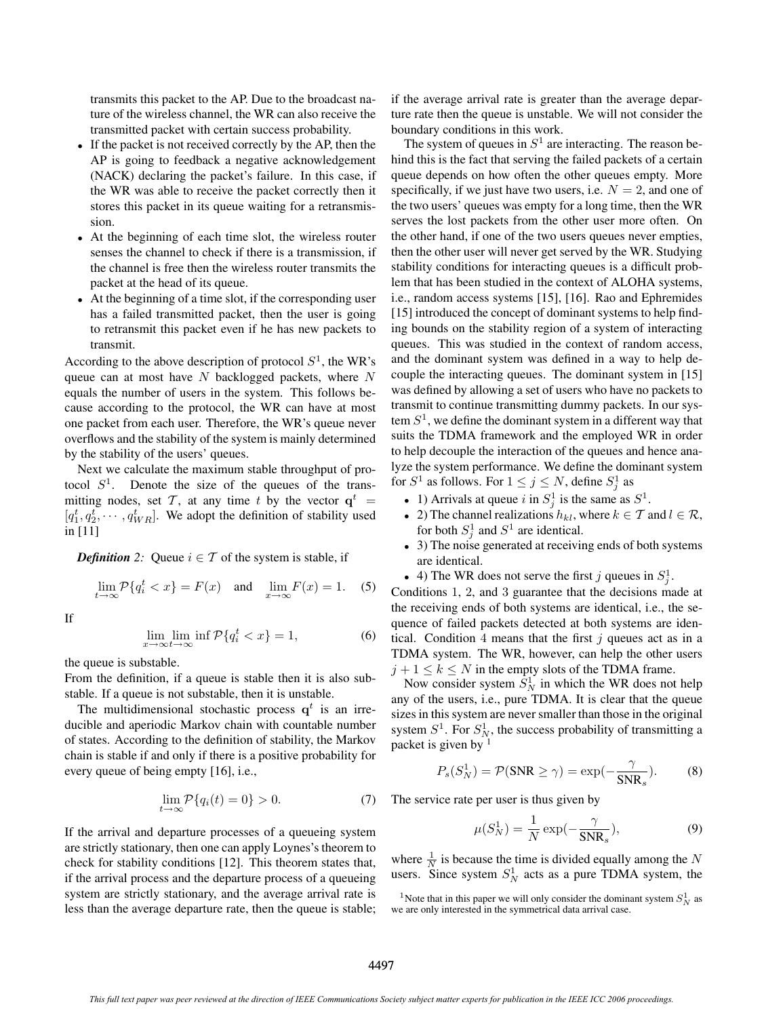transmits this packet to the AP. Due to the broadcast nature of the wireless channel, the WR can also receive the transmitted packet with certain success probability.

- If the packet is not received correctly by the AP, then the AP is going to feedback a negative acknowledgement (NACK) declaring the packet's failure. In this case, if the WR was able to receive the packet correctly then it stores this packet in its queue waiting for a retransmission.
- At the beginning of each time slot, the wireless router senses the channel to check if there is a transmission, if the channel is free then the wireless router transmits the packet at the head of its queue.
- At the beginning of a time slot, if the corresponding user has a failed transmitted packet, then the user is going to retransmit this packet even if he has new packets to transmit.

According to the above description of protocol  $S<sup>1</sup>$ , the WR's queue can at most have  $N$  backlogged packets, where  $N$ equals the number of users in the system. This follows because according to the protocol, the WR can have at most one packet from each user. Therefore, the WR's queue never overflows and the stability of the system is mainly determined by the stability of the users' queues.

Next we calculate the maximum stable throughput of protocol  $S<sup>1</sup>$ . Denote the size of the queues of the transmitting nodes, set T, at any time t by the vector  $q^t$  =  $[q_1^t, q_2^t, \cdots, q_{WR}^t]$ . We adopt the definition of stability used in [11]

*Definition* 2: Queue  $i \in \mathcal{T}$  of the system is stable, if

$$
\lim_{t \to \infty} \mathcal{P}\{q_i^t < x\} = F(x) \quad \text{and} \quad \lim_{x \to \infty} F(x) = 1. \tag{5}
$$

If

$$
\lim_{x \to \infty} \lim_{t \to \infty} \inf \mathcal{P}\{q_i^t < x\} = 1,\tag{6}
$$

the queue is substable.

From the definition, if a queue is stable then it is also substable. If a queue is not substable, then it is unstable.

The multidimensional stochastic process  $q<sup>t</sup>$  is an irreducible and aperiodic Markov chain with countable number of states. According to the definition of stability, the Markov chain is stable if and only if there is a positive probability for every queue of being empty [16], i.e.,

$$
\lim_{t \to \infty} \mathcal{P}\{q_i(t) = 0\} > 0. \tag{7}
$$

If the arrival and departure processes of a queueing system are strictly stationary, then one can apply Loynes's theorem to check for stability conditions [12]. This theorem states that, if the arrival process and the departure process of a queueing system are strictly stationary, and the average arrival rate is less than the average departure rate, then the queue is stable;

if the average arrival rate is greater than the average departure rate then the queue is unstable. We will not consider the boundary conditions in this work.

The system of queues in  $S<sup>1</sup>$  are interacting. The reason behind this is the fact that serving the failed packets of a certain queue depends on how often the other queues empty. More specifically, if we just have two users, i.e.  $N = 2$ , and one of the two users' queues was empty for a long time, then the WR serves the lost packets from the other user more often. On the other hand, if one of the two users queues never empties, then the other user will never get served by the WR. Studying stability conditions for interacting queues is a difficult problem that has been studied in the context of ALOHA systems, i.e., random access systems [15], [16]. Rao and Ephremides [15] introduced the concept of dominant systems to help finding bounds on the stability region of a system of interacting queues. This was studied in the context of random access, and the dominant system was defined in a way to help decouple the interacting queues. The dominant system in [15] was defined by allowing a set of users who have no packets to transmit to continue transmitting dummy packets. In our system  $S<sup>1</sup>$ , we define the dominant system in a different way that suits the TDMA framework and the employed WR in order to help decouple the interaction of the queues and hence analyze the system performance. We define the dominant system for  $S^1$  as follows. For  $1 \le j \le N$ , define  $S_j^1$  as

- 1) Arrivals at queue i in  $S_j^1$  is the same as  $S^1$ .
- 2) The channel realizations  $h_{kl}$ , where  $k \in \mathcal{T}$  and  $l \in \mathcal{R}$ , for both  $S_j^1$  and  $S^1$  are identical.
- 3) The noise generated at receiving ends of both systems are identical.
- 4) The WR does not serve the first j queues in  $S_j^1$ .

Conditions 1, 2, and 3 guarantee that the decisions made at the receiving ends of both systems are identical, i.e., the sequence of failed packets detected at both systems are identical. Condition 4 means that the first  $j$  queues act as in a TDMA system. The WR, however, can help the other users  $j + 1 \le k \le N$  in the empty slots of the TDMA frame.

Now consider system  $\hat{S}_N^1$  in which the WR does not help any of the users, i.e., pure TDMA. It is clear that the queue sizes in this system are never smaller than those in the original system  $S^1$ . For  $S^1_N$ , the success probability of transmitting a packet is given by <sup>1</sup>

$$
P_s(S_N^1) = \mathcal{P}(\text{SNR} \ge \gamma) = \exp(-\frac{\gamma}{\text{SNR}_s}).\tag{8}
$$

The service rate per user is thus given by

$$
\mu(S_N^1) = \frac{1}{N} \exp(-\frac{\gamma}{\text{SNR}_s}),\tag{9}
$$

where  $\frac{1}{N}$  is because the time is divided equally among the N users. Since system  $S_N^1$  acts as a pure TDMA system, the

<sup>&</sup>lt;sup>1</sup>Note that in this paper we will only consider the dominant system  $S_N^1$  as we are only interested in the symmetrical data arrival case.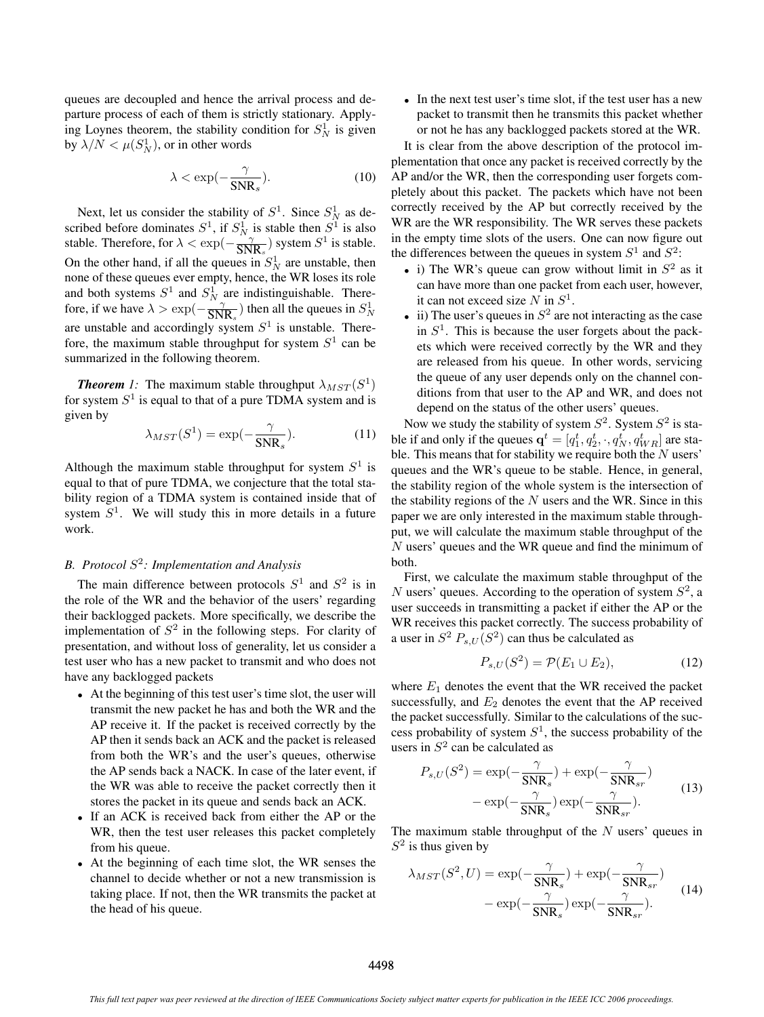queues are decoupled and hence the arrival process and departure process of each of them is strictly stationary. Applying Loynes theorem, the stability condition for  $S_N^1$  is given by  $\lambda/N < \mu(S_N^1)$ , or in other words

$$
\lambda < \exp\left(-\frac{\gamma}{\text{SNR}_s}\right). \tag{10}
$$

Next, let us consider the stability of  $S^1$ . Since  $S^1_N$  as described before dominates  $S^1$ , if  $S^1_N$  is stable then  $S^1$  is also stable. Therefore, for  $\lambda < \exp(-\frac{1}{SNR_s})$  system  $S^1$  is stable. On the other hand, if all the queues in  $S_N^1$  are unstable, then none of these queues ever empty, hence, the WR loses its role and both systems  $S^1$  and  $S_N^1$  are indistinguishable. Therefore, if we have  $\lambda > \exp(-\frac{N}{SNR_s})$  then all the queues in  $S_N^1$ are unstable and accordingly system  $S<sup>1</sup>$  is unstable. Therefore, the maximum stable throughput for system  $S<sup>1</sup>$  can be summarized in the following theorem.

*Theorem 1:* The maximum stable throughput  $\lambda_{MST}(S^1)$ for system  $S<sup>1</sup>$  is equal to that of a pure TDMA system and is given by

$$
\lambda_{MST}(S^1) = \exp(-\frac{\gamma}{\text{SNR}_s}).\tag{11}
$$

Although the maximum stable throughput for system  $S^1$  is equal to that of pure TDMA, we conjecture that the total stability region of a TDMA system is contained inside that of system  $S<sup>1</sup>$ . We will study this in more details in a future work.

# *B. Protocol* S<sup>2</sup>*: Implementation and Analysis*

The main difference between protocols  $S^1$  and  $S^2$  is in the role of the WR and the behavior of the users' regarding their backlogged packets. More specifically, we describe the implementation of  $S^2$  in the following steps. For clarity of presentation, and without loss of generality, let us consider a test user who has a new packet to transmit and who does not have any backlogged packets

- At the beginning of this test user's time slot, the user will transmit the new packet he has and both the WR and the AP receive it. If the packet is received correctly by the AP then it sends back an ACK and the packet is released from both the WR's and the user's queues, otherwise the AP sends back a NACK. In case of the later event, if the WR was able to receive the packet correctly then it stores the packet in its queue and sends back an ACK.
- If an ACK is received back from either the AP or the WR, then the test user releases this packet completely from his queue.
- At the beginning of each time slot, the WR senses the channel to decide whether or not a new transmission is taking place. If not, then the WR transmits the packet at the head of his queue.

• In the next test user's time slot, if the test user has a new packet to transmit then he transmits this packet whether or not he has any backlogged packets stored at the WR.

It is clear from the above description of the protocol implementation that once any packet is received correctly by the AP and/or the WR, then the corresponding user forgets completely about this packet. The packets which have not been correctly received by the AP but correctly received by the WR are the WR responsibility. The WR serves these packets in the empty time slots of the users. One can now figure out the differences between the queues in system  $S^1$  and  $S^2$ :

- i) The WR's queue can grow without limit in  $S^2$  as it can have more than one packet from each user, however, it can not exceed size  $N$  in  $S^1$ .
- ii) The user's queues in  $S^2$  are not interacting as the case in  $S<sup>1</sup>$ . This is because the user forgets about the packets which were received correctly by the WR and they are released from his queue. In other words, servicing the queue of any user depends only on the channel conditions from that user to the AP and WR, and does not depend on the status of the other users' queues.

Now we study the stability of system  $S^2$ . System  $S^2$  is stable if and only if the queues  $\mathbf{q}^t = [q_1^t, q_2^t, \cdot, q_N^t, q_{WR}^t]$  are stable. This means that for stability we require both the  $N$  users' queues and the WR's queue to be stable. Hence, in general, the stability region of the whole system is the intersection of the stability regions of the  $N$  users and the WR. Since in this paper we are only interested in the maximum stable throughput, we will calculate the maximum stable throughput of the N users' queues and the WR queue and find the minimum of both.

First, we calculate the maximum stable throughput of the N users' queues. According to the operation of system  $S^2$ , a user succeeds in transmitting a packet if either the AP or the WR receives this packet correctly. The success probability of a user in  $S^2 P_{s,U}(S^2)$  can thus be calculated as

$$
P_{s,U}(S^2) = \mathcal{P}(E_1 \cup E_2),\tag{12}
$$

where  $E_1$  denotes the event that the WR received the packet successfully, and  $E_2$  denotes the event that the AP received the packet successfully. Similar to the calculations of the success probability of system  $S<sup>1</sup>$ , the success probability of the users in  $S^2$  can be calculated as

$$
P_{s,U}(S^2) = \exp(-\frac{\gamma}{\text{SNR}_s}) + \exp(-\frac{\gamma}{\text{SNR}_{sr}})
$$

$$
-\exp(-\frac{\gamma}{\text{SNR}_s})\exp(-\frac{\gamma}{\text{SNR}_{sr}}).
$$
(13)

The maximum stable throughput of the  $N$  users' queues in  $S^2$  is thus given by

$$
\lambda_{MST}(S^2, U) = \exp(-\frac{\gamma}{\text{SNR}_s}) + \exp(-\frac{\gamma}{\text{SNR}_{sr}})
$$

$$
-\exp(-\frac{\gamma}{\text{SNR}_s}) \exp(-\frac{\gamma}{\text{SNR}_{sr}}).
$$
(14)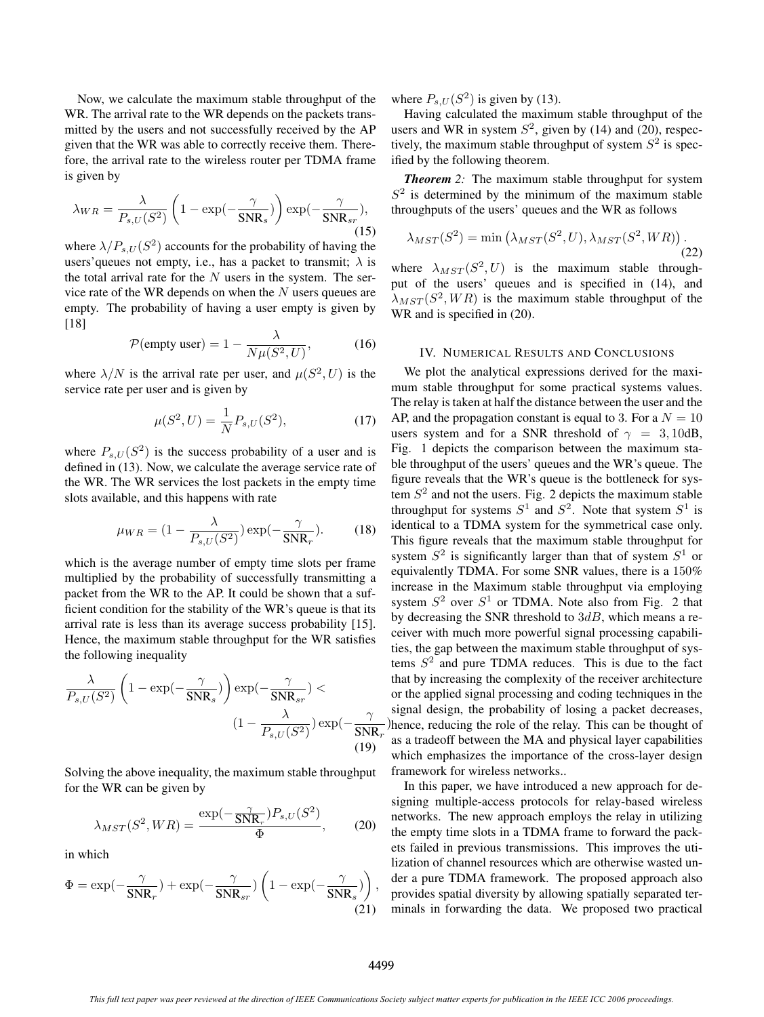Now, we calculate the maximum stable throughput of the WR. The arrival rate to the WR depends on the packets transmitted by the users and not successfully received by the AP given that the WR was able to correctly receive them. Therefore, the arrival rate to the wireless router per TDMA frame is given by

$$
\lambda_{WR} = \frac{\lambda}{P_{s,U}(S^2)} \left( 1 - \exp(-\frac{\gamma}{\text{SNR}_s}) \right) \exp(-\frac{\gamma}{\text{SNR}_{sr}}),\tag{15}
$$

where  $\lambda/P_{s,U}(S^2)$  accounts for the probability of having the users' queues not empty, i.e., has a packet to transmit;  $\lambda$  is the total arrival rate for the  $N$  users in the system. The service rate of the WR depends on when the N users queues are empty. The probability of having a user empty is given by [18]

$$
\mathcal{P}(\text{empty user}) = 1 - \frac{\lambda}{N\mu(S^2, U)},\tag{16}
$$

where  $\lambda/N$  is the arrival rate per user, and  $\mu(S^2, U)$  is the service rate per user and is given by

$$
\mu(S^2, U) = \frac{1}{N} P_{s,U}(S^2),\tag{17}
$$

where  $P_{s,U}(S^2)$  is the success probability of a user and is defined in (13). Now, we calculate the average service rate of the WR. The WR services the lost packets in the empty time slots available, and this happens with rate

$$
\mu_{WR} = (1 - \frac{\lambda}{P_{s,U}(S^2)}) \exp(-\frac{\gamma}{\text{SNR}_r}).
$$
 (18)

which is the average number of empty time slots per frame multiplied by the probability of successfully transmitting a packet from the WR to the AP. It could be shown that a sufficient condition for the stability of the WR's queue is that its arrival rate is less than its average success probability [15]. Hence, the maximum stable throughput for the WR satisfies the following inequality

$$
\frac{\lambda}{P_{s,U}(S^2)} \left(1 - \exp(-\frac{\gamma}{\text{SNR}_s})\right) \exp(-\frac{\gamma}{\text{SNR}_{sr}}) < \frac{\lambda}{(1 - \frac{\lambda}{P_{s,U}(S^2)})} \exp(-\frac{\gamma}{\text{SNR}_r})
$$
\n(19)

Solving the above inequality, the maximum stable throughput for the WR can be given by

$$
\lambda_{MST}(S^2, WR) = \frac{\exp(-\frac{\gamma}{\text{SNR}_r}) P_{s,U}(S^2)}{\Phi}, \quad (20)
$$

in which

$$
\Phi = \exp(-\frac{\gamma}{\text{SNR}_r}) + \exp(-\frac{\gamma}{\text{SNR}_{sr}}) \left(1 - \exp(-\frac{\gamma}{\text{SNR}_s})\right),\tag{21}
$$

where  $P_{s,U}(S^2)$  is given by (13).

Having calculated the maximum stable throughput of the users and WR in system  $S^2$ , given by (14) and (20), respectively, the maximum stable throughput of system  $S^2$  is specified by the following theorem.

*Theorem 2:* The maximum stable throughput for system  $S<sup>2</sup>$  is determined by the minimum of the maximum stable throughputs of the users' queues and the WR as follows

$$
\lambda_{MST}(S^2) = \min\left(\lambda_{MST}(S^2, U), \lambda_{MST}(S^2, WR)\right). \tag{22}
$$

where  $\lambda_{MST}(S^2, U)$  is the maximum stable throughput of the users' queues and is specified in (14), and  $\lambda_{MST}(S^2, WR)$  is the maximum stable throughput of the WR and is specified in  $(20)$ .

# IV. NUMERICAL RESULTS AND CONCLUSIONS

) hence, reducing the role of the relay. This can be thought of We plot the analytical expressions derived for the maximum stable throughput for some practical systems values. The relay is taken at half the distance between the user and the AP, and the propagation constant is equal to 3. For a  $N = 10$ users system and for a SNR threshold of  $\gamma = 3,10$ dB, Fig. 1 depicts the comparison between the maximum stable throughput of the users' queues and the WR's queue. The figure reveals that the WR's queue is the bottleneck for system  $S<sup>2</sup>$  and not the users. Fig. 2 depicts the maximum stable throughput for systems  $S^1$  and  $S^2$ . Note that system  $S^1$  is identical to a TDMA system for the symmetrical case only. This figure reveals that the maximum stable throughput for system  $S^2$  is significantly larger than that of system  $S^1$  or equivalently TDMA. For some SNR values, there is a 150% increase in the Maximum stable throughput via employing system  $S^2$  over  $S^1$  or TDMA. Note also from Fig. 2 that by decreasing the SNR threshold to  $3dB$ , which means a receiver with much more powerful signal processing capabilities, the gap between the maximum stable throughput of systems  $S<sup>2</sup>$  and pure TDMA reduces. This is due to the fact that by increasing the complexity of the receiver architecture or the applied signal processing and coding techniques in the signal design, the probability of losing a packet decreases, as a tradeoff between the MA and physical layer capabilities which emphasizes the importance of the cross-layer design framework for wireless networks..

In this paper, we have introduced a new approach for designing multiple-access protocols for relay-based wireless networks. The new approach employs the relay in utilizing the empty time slots in a TDMA frame to forward the packets failed in previous transmissions. This improves the utilization of channel resources which are otherwise wasted under a pure TDMA framework. The proposed approach also provides spatial diversity by allowing spatially separated terminals in forwarding the data. We proposed two practical